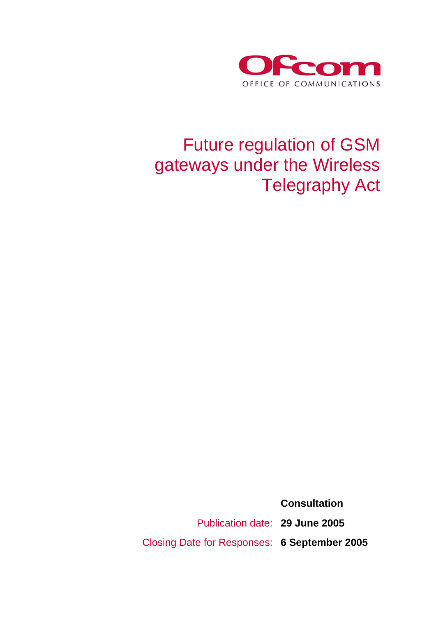

# Future regulation of GSM gateways under the Wireless Telegraphy Act

 **Consultation**  Publication date: **29 June 2005**  Closing Date for Responses: **6 September 2005**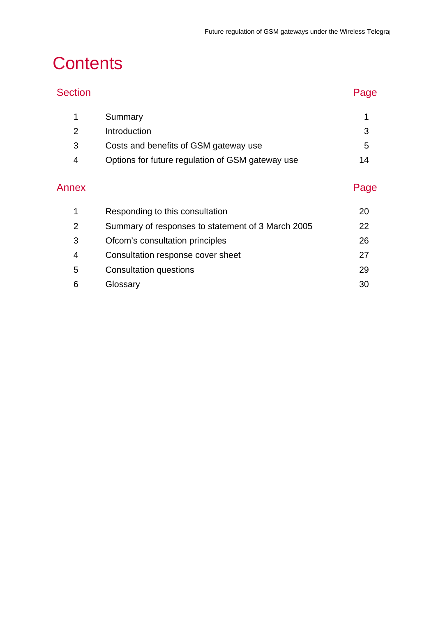# **Contents**

| <b>Section</b> |                                                   | Page |
|----------------|---------------------------------------------------|------|
| 1              | Summary                                           | 1    |
| 2              | Introduction                                      | 3    |
| 3              | Costs and benefits of GSM gateway use             | 5    |
| 4              | Options for future regulation of GSM gateway use  | 14   |
| Annex          |                                                   | Page |
| 1              | Responding to this consultation                   | 20   |
| $\overline{2}$ | Summary of responses to statement of 3 March 2005 | 22   |
| 3              | Ofcom's consultation principles                   | 26   |
| 4              | Consultation response cover sheet                 | 27   |
| 5              | <b>Consultation questions</b>                     | 29   |
| 6              | Glossary                                          | 30   |
|                |                                                   |      |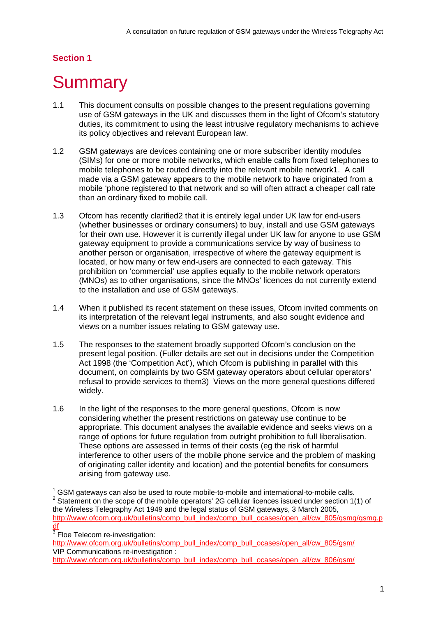## **Section 1**

# **Summary**

- 1.1 This document consults on possible changes to the present regulations governing use of GSM gateways in the UK and discusses them in the light of Ofcom's statutory duties, its commitment to using the least intrusive regulatory mechanisms to achieve its policy objectives and relevant European law.
- 1.2 GSM gateways are devices containing one or more subscriber identity modules (SIMs) for one or more mobile networks, which enable calls from fixed telephones to mobile telephones to be routed directly into the relevant mobile network1. A call made via a GSM gateway appears to the mobile network to have originated from a mobile 'phone registered to that network and so will often attract a cheaper call rate than an ordinary fixed to mobile call.
- 1.3 Ofcom has recently clarified2 that it is entirely legal under UK law for end-users (whether businesses or ordinary consumers) to buy, install and use GSM gateways for their own use. However it is currently illegal under UK law for anyone to use GSM gateway equipment to provide a communications service by way of business to another person or organisation, irrespective of where the gateway equipment is located, or how many or few end-users are connected to each gateway. This prohibition on 'commercial' use applies equally to the mobile network operators (MNOs) as to other organisations, since the MNOs' licences do not currently extend to the installation and use of GSM gateways.
- 1.4 When it published its recent statement on these issues, Ofcom invited comments on its interpretation of the relevant legal instruments, and also sought evidence and views on a number issues relating to GSM gateway use.
- 1.5 The responses to the statement broadly supported Ofcom's conclusion on the present legal position. (Fuller details are set out in decisions under the Competition Act 1998 (the 'Competition Act'), which Ofcom is publishing in parallel with this document, on complaints by two GSM gateway operators about cellular operators' refusal to provide services to them3) Views on the more general questions differed widely.
- 1.6 In the light of the responses to the more general questions, Ofcom is now considering whether the present restrictions on gateway use continue to be appropriate. This document analyses the available evidence and seeks views on a range of options for future regulation from outright prohibition to full liberalisation. These options are assessed in terms of their costs (eg the risk of harmful interference to other users of the mobile phone service and the problem of masking of originating caller identity and location) and the potential benefits for consumers arising from gateway use.

 $1$  GSM gateways can also be used to route mobile-to-mobile and international-to-mobile calls.  $2$  Statement on the scope of the mobile operators' 2G cellular licences issued under section 1(1) of the Wireless Telegraphy Act 1949 and the legal status of GSM gateways, 3 March 2005, http://www.ofcom.org.uk/bulletins/comp\_bull\_index/comp\_bull\_ocases/open\_all/cw\_805/gsmg/gsmg.p df

 $3$  Floe Telecom re-investigation:

http://www.ofcom.org.uk/bulletins/comp\_bull\_index/comp\_bull\_ocases/open\_all/cw\_805/gsm/ VIP Communications re-investigation :

```
http://www.ofcom.org.uk/bulletins/comp_bull_index/comp_bull_ocases/open_all/cw_806/gsm/
```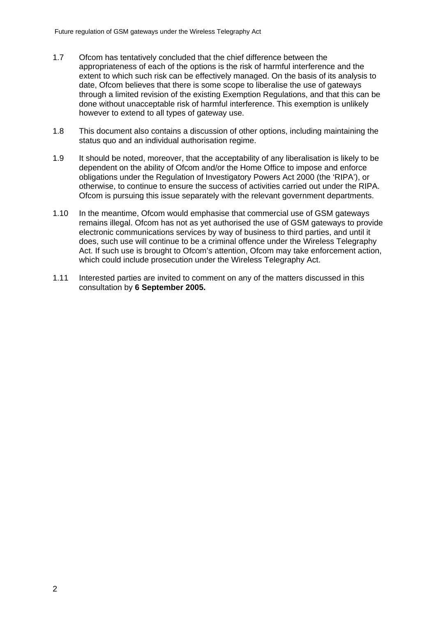- 1.7 Ofcom has tentatively concluded that the chief difference between the appropriateness of each of the options is the risk of harmful interference and the extent to which such risk can be effectively managed. On the basis of its analysis to date, Ofcom believes that there is some scope to liberalise the use of gateways through a limited revision of the existing Exemption Regulations, and that this can be done without unacceptable risk of harmful interference. This exemption is unlikely however to extend to all types of gateway use.
- 1.8 This document also contains a discussion of other options, including maintaining the status quo and an individual authorisation regime.
- 1.9 It should be noted, moreover, that the acceptability of any liberalisation is likely to be dependent on the ability of Ofcom and/or the Home Office to impose and enforce obligations under the Regulation of Investigatory Powers Act 2000 (the 'RIPA'), or otherwise, to continue to ensure the success of activities carried out under the RIPA. Ofcom is pursuing this issue separately with the relevant government departments.
- 1.10 In the meantime, Ofcom would emphasise that commercial use of GSM gateways remains illegal. Ofcom has not as yet authorised the use of GSM gateways to provide electronic communications services by way of business to third parties, and until it does, such use will continue to be a criminal offence under the Wireless Telegraphy Act. If such use is brought to Ofcom's attention, Ofcom may take enforcement action, which could include prosecution under the Wireless Telegraphy Act.
- 1.11 Interested parties are invited to comment on any of the matters discussed in this consultation by **6 September 2005.**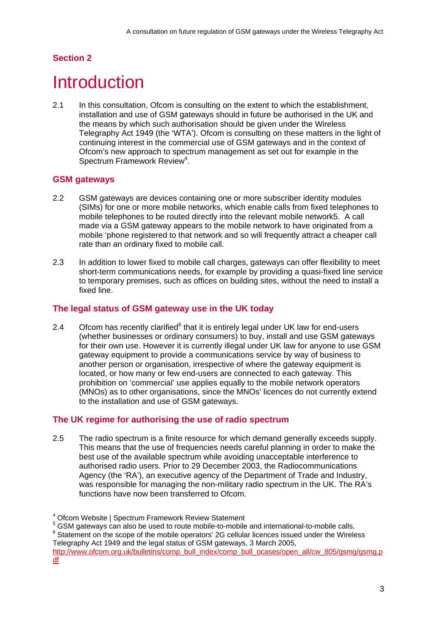## **Section 2**

# **Introduction**

2.1 In this consultation, Ofcom is consulting on the extent to which the establishment, installation and use of GSM gateways should in future be authorised in the UK and the means by which such authorisation should be given under the Wireless Telegraphy Act 1949 (the 'WTA'). Ofcom is consulting on these matters in the light of continuing interest in the commercial use of GSM gateways and in the context of Ofcom's new approach to spectrum management as set out for example in the Spectrum Framework Review<sup>4</sup>.

## **GSM gateways**

- 2.2 GSM gateways are devices containing one or more subscriber identity modules (SIMs) for one or more mobile networks, which enable calls from fixed telephones to mobile telephones to be routed directly into the relevant mobile network5. A call made via a GSM gateway appears to the mobile network to have originated from a mobile 'phone registered to that network and so will frequently attract a cheaper call rate than an ordinary fixed to mobile call.
- 2.3 In addition to lower fixed to mobile call charges, gateways can offer flexibility to meet short-term communications needs, for example by providing a quasi-fixed line service to temporary premises, such as offices on building sites, without the need to install a fixed line.

## **The legal status of GSM gateway use in the UK today**

2.4 Ofcom has recently clarified $<sup>6</sup>$  that it is entirely legal under UK law for end-users</sup> (whether businesses or ordinary consumers) to buy, install and use GSM gateways for their own use. However it is currently illegal under UK law for anyone to use GSM gateway equipment to provide a communications service by way of business to another person or organisation, irrespective of where the gateway equipment is located, or how many or few end-users are connected to each gateway. This prohibition on 'commercial' use applies equally to the mobile network operators (MNOs) as to other organisations, since the MNOs' licences do not currently extend to the installation and use of GSM gateways.

## **The UK regime for authorising the use of radio spectrum**

2.5 The radio spectrum is a finite resource for which demand generally exceeds supply. This means that the use of frequencies needs careful planning in order to make the best use of the available spectrum while avoiding unacceptable interference to authorised radio users. Prior to 29 December 2003, the Radiocommunications Agency (the 'RA'), an executive agency of the Department of Trade and Industry, was responsible for managing the non-military radio spectrum in the UK. The RA's functions have now been transferred to Ofcom.

<sup>4</sup> Ofcom Website | Spectrum Framework Review Statement

<sup>&</sup>lt;sup>5</sup> GSM gateways can also be used to route mobile-to-mobile and international-to-mobile calls.

 $6$  Statement on the scope of the mobile operators' 2G cellular licences issued under the Wireless Telegraphy Act 1949 and the legal status of GSM gateways, 3 March 2005,

http://www.ofcom.org.uk/bulletins/comp\_bull\_index/comp\_bull\_ocases/open\_all/cw\_805/gsmg/gsmg.p df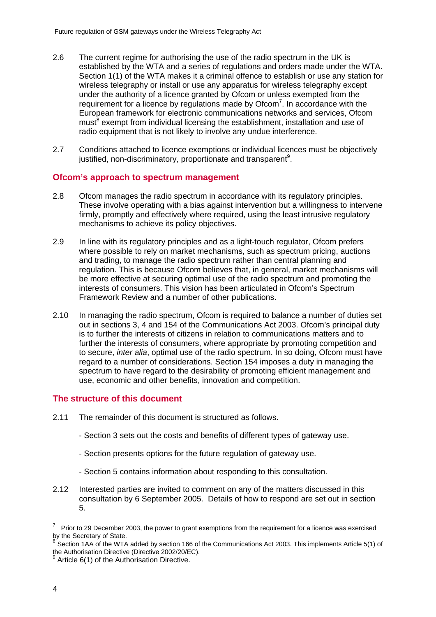- 2.6 The current regime for authorising the use of the radio spectrum in the UK is established by the WTA and a series of regulations and orders made under the WTA. Section 1(1) of the WTA makes it a criminal offence to establish or use any station for wireless telegraphy or install or use any apparatus for wireless telegraphy except under the authority of a licence granted by Ofcom or unless exempted from the requirement for a licence by regulations made by  $Ofcom<sup>7</sup>$ . In accordance with the European framework for electronic communications networks and services, Ofcom must<sup>8</sup> exempt from individual licensing the establishment, installation and use of radio equipment that is not likely to involve any undue interference.
- 2.7 Conditions attached to licence exemptions or individual licences must be objectively justified, non-discriminatory, proportionate and transparent<sup>9</sup>.

### **Ofcom's approach to spectrum management**

- 2.8 Ofcom manages the radio spectrum in accordance with its regulatory principles. These involve operating with a bias against intervention but a willingness to intervene firmly, promptly and effectively where required, using the least intrusive regulatory mechanisms to achieve its policy objectives.
- 2.9 In line with its regulatory principles and as a light-touch regulator, Ofcom prefers where possible to rely on market mechanisms, such as spectrum pricing, auctions and trading, to manage the radio spectrum rather than central planning and regulation. This is because Ofcom believes that, in general, market mechanisms will be more effective at securing optimal use of the radio spectrum and promoting the interests of consumers. This vision has been articulated in Ofcom's Spectrum Framework Review and a number of other publications.
- 2.10 In managing the radio spectrum, Ofcom is required to balance a number of duties set out in sections 3, 4 and 154 of the Communications Act 2003. Ofcom's principal duty is to further the interests of citizens in relation to communications matters and to further the interests of consumers, where appropriate by promoting competition and to secure, *inter alia*, optimal use of the radio spectrum. In so doing, Ofcom must have regard to a number of considerations. Section 154 imposes a duty in managing the spectrum to have regard to the desirability of promoting efficient management and use, economic and other benefits, innovation and competition.

#### **The structure of this document**

- 2.11 The remainder of this document is structured as follows.
	- Section 3 sets out the costs and benefits of different types of gateway use.
	- Section presents options for the future regulation of gateway use.
	- Section 5 contains information about responding to this consultation.
- 2.12 Interested parties are invited to comment on any of the matters discussed in this consultation by 6 September 2005. Details of how to respond are set out in section 5.

Prior to 29 December 2003, the power to grant exemptions from the requirement for a licence was exercised by the Secretary of State.

Section 1AA of the WTA added by section 166 of the Communications Act 2003. This implements Article 5(1) of the Authorisation Directive (Directive 2002/20/EC).<br><sup>9</sup> Article 6(1) of the Authorisation Directive

Article 6(1) of the Authorisation Directive.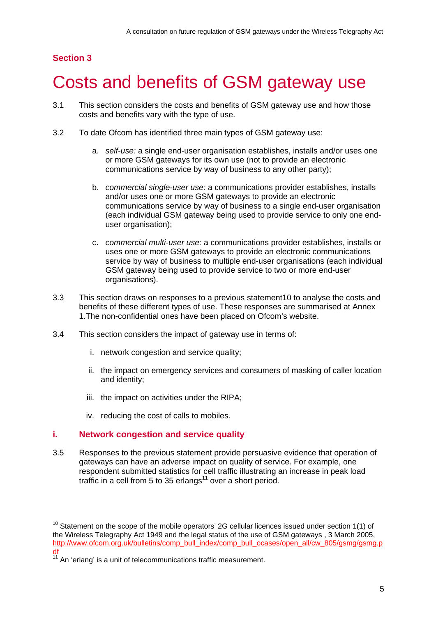# **Section 3**

# 3 Costs and benefits of GSM gateway use

- 3.1 This section considers the costs and benefits of GSM gateway use and how those costs and benefits vary with the type of use.
- 3.2 To date Ofcom has identified three main types of GSM gateway use:
	- a. *self-use:* a single end-user organisation establishes, installs and/or uses one or more GSM gateways for its own use (not to provide an electronic communications service by way of business to any other party);
	- b. *commercial single-user use:* a communications provider establishes, installs and/or uses one or more GSM gateways to provide an electronic communications service by way of business to a single end-user organisation (each individual GSM gateway being used to provide service to only one enduser organisation);
	- c. *commercial multi-user use:* a communications provider establishes, installs or uses one or more GSM gateways to provide an electronic communications service by way of business to multiple end-user organisations (each individual GSM gateway being used to provide service to two or more end-user organisations).
- 3.3 This section draws on responses to a previous statement10 to analyse the costs and benefits of these different types of use. These responses are summarised at Annex 1.The non-confidential ones have been placed on Ofcom's website.
- 3.4 This section considers the impact of gateway use in terms of:
	- i. network congestion and service quality;
	- ii. the impact on emergency services and consumers of masking of caller location and identity;
	- iii. the impact on activities under the RIPA;
	- iv. reducing the cost of calls to mobiles.

### **i. Network congestion and service quality**

3.5 Responses to the previous statement provide persuasive evidence that operation of gateways can have an adverse impact on quality of service. For example, one respondent submitted statistics for cell traffic illustrating an increase in peak load traffic in a cell from 5 to 35 erlangs $11$  over a short period.

 $10$  Statement on the scope of the mobile operators' 2G cellular licences issued under section 1(1) of the Wireless Telegraphy Act 1949 and the legal status of the use of GSM gateways , 3 March 2005, http://www.ofcom.org.uk/bulletins/comp\_bull\_index/comp\_bull\_ocases/open\_all/cw\_805/gsmg/gsmg.p df

 $\frac{11}{11}$  An 'erlang' is a unit of telecommunications traffic measurement.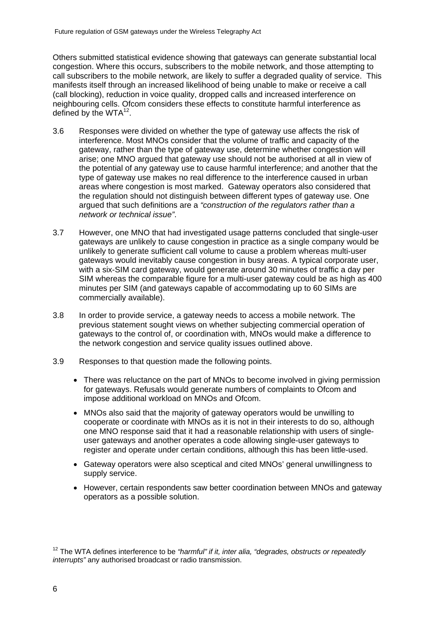Others submitted statistical evidence showing that gateways can generate substantial local congestion. Where this occurs, subscribers to the mobile network, and those attempting to call subscribers to the mobile network, are likely to suffer a degraded quality of service. This manifests itself through an increased likelihood of being unable to make or receive a call (call blocking), reduction in voice quality, dropped calls and increased interference on neighbouring cells. Ofcom considers these effects to constitute harmful interference as defined by the  $WTA^{12}$ .

- 3.6 Responses were divided on whether the type of gateway use affects the risk of interference. Most MNOs consider that the volume of traffic and capacity of the gateway, rather than the type of gateway use, determine whether congestion will arise; one MNO argued that gateway use should not be authorised at all in view of the potential of any gateway use to cause harmful interference; and another that the type of gateway use makes no real difference to the interference caused in urban areas where congestion is most marked. Gateway operators also considered that the regulation should not distinguish between different types of gateway use. One argued that such definitions are a *"construction of the regulators rather than a network or technical issue"*.
- 3.7 However, one MNO that had investigated usage patterns concluded that single-user gateways are unlikely to cause congestion in practice as a single company would be unlikely to generate sufficient call volume to cause a problem whereas multi-user gateways would inevitably cause congestion in busy areas. A typical corporate user, with a six-SIM card gateway, would generate around 30 minutes of traffic a day per SIM whereas the comparable figure for a multi-user gateway could be as high as 400 minutes per SIM (and gateways capable of accommodating up to 60 SIMs are commercially available).
- 3.8 In order to provide service, a gateway needs to access a mobile network. The previous statement sought views on whether subjecting commercial operation of gateways to the control of, or coordination with, MNOs would make a difference to the network congestion and service quality issues outlined above.
- 3.9 Responses to that question made the following points.
	- There was reluctance on the part of MNOs to become involved in giving permission for gateways. Refusals would generate numbers of complaints to Ofcom and impose additional workload on MNOs and Ofcom.
	- MNOs also said that the majority of gateway operators would be unwilling to cooperate or coordinate with MNOs as it is not in their interests to do so, although one MNO response said that it had a reasonable relationship with users of singleuser gateways and another operates a code allowing single-user gateways to register and operate under certain conditions, although this has been little-used.
	- Gateway operators were also sceptical and cited MNOs' general unwillingness to supply service.
	- However, certain respondents saw better coordination between MNOs and gateway operators as a possible solution.

<sup>12</sup> The WTA defines interference to be *"harmful" if it, inter alia, "degrades, obstructs or repeatedly interrupts"* any authorised broadcast or radio transmission.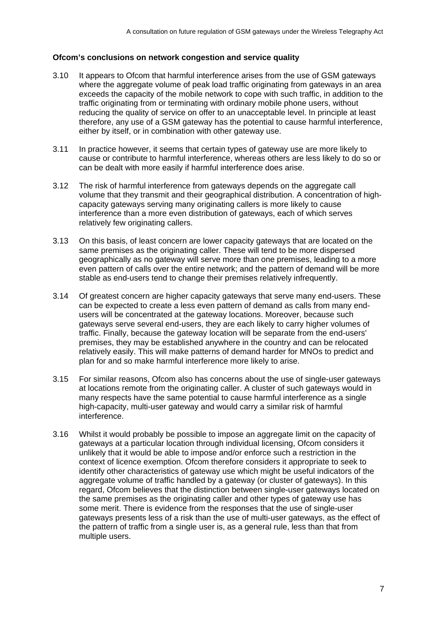#### **Ofcom's conclusions on network congestion and service quality**

- 3.10 It appears to Ofcom that harmful interference arises from the use of GSM gateways where the aggregate volume of peak load traffic originating from gateways in an area exceeds the capacity of the mobile network to cope with such traffic, in addition to the traffic originating from or terminating with ordinary mobile phone users, without reducing the quality of service on offer to an unacceptable level. In principle at least therefore, any use of a GSM gateway has the potential to cause harmful interference, either by itself, or in combination with other gateway use.
- 3.11 In practice however, it seems that certain types of gateway use are more likely to cause or contribute to harmful interference, whereas others are less likely to do so or can be dealt with more easily if harmful interference does arise.
- 3.12 The risk of harmful interference from gateways depends on the aggregate call volume that they transmit and their geographical distribution. A concentration of highcapacity gateways serving many originating callers is more likely to cause interference than a more even distribution of gateways, each of which serves relatively few originating callers.
- 3.13 On this basis, of least concern are lower capacity gateways that are located on the same premises as the originating caller. These will tend to be more dispersed geographically as no gateway will serve more than one premises, leading to a more even pattern of calls over the entire network; and the pattern of demand will be more stable as end-users tend to change their premises relatively infrequently.
- 3.14 Of greatest concern are higher capacity gateways that serve many end-users. These can be expected to create a less even pattern of demand as calls from many endusers will be concentrated at the gateway locations. Moreover, because such gateways serve several end-users, they are each likely to carry higher volumes of traffic. Finally, because the gateway location will be separate from the end-users' premises, they may be established anywhere in the country and can be relocated relatively easily. This will make patterns of demand harder for MNOs to predict and plan for and so make harmful interference more likely to arise.
- 3.15 For similar reasons, Ofcom also has concerns about the use of single-user gateways at locations remote from the originating caller. A cluster of such gateways would in many respects have the same potential to cause harmful interference as a single high-capacity, multi-user gateway and would carry a similar risk of harmful interference.
- 3.16 Whilst it would probably be possible to impose an aggregate limit on the capacity of gateways at a particular location through individual licensing, Ofcom considers it unlikely that it would be able to impose and/or enforce such a restriction in the context of licence exemption. Ofcom therefore considers it appropriate to seek to identify other characteristics of gateway use which might be useful indicators of the aggregate volume of traffic handled by a gateway (or cluster of gateways). In this regard, Ofcom believes that the distinction between single-user gateways located on the same premises as the originating caller and other types of gateway use has some merit. There is evidence from the responses that the use of single-user gateways presents less of a risk than the use of multi-user gateways, as the effect of the pattern of traffic from a single user is, as a general rule, less than that from multiple users.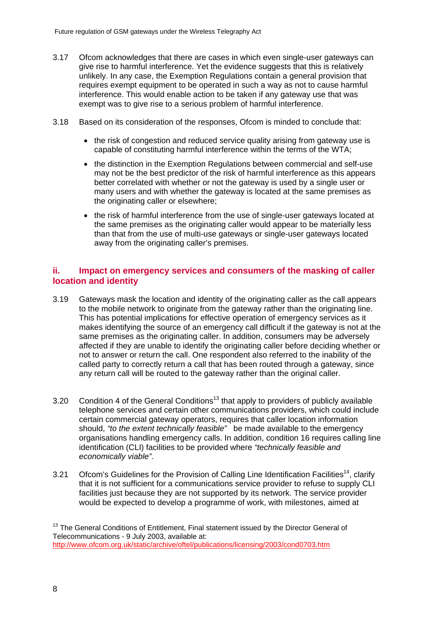- 3.17 Ofcom acknowledges that there are cases in which even single-user gateways can give rise to harmful interference. Yet the evidence suggests that this is relatively unlikely. In any case, the Exemption Regulations contain a general provision that requires exempt equipment to be operated in such a way as not to cause harmful interference. This would enable action to be taken if any gateway use that was exempt was to give rise to a serious problem of harmful interference.
- 3.18 Based on its consideration of the responses, Ofcom is minded to conclude that:
	- the risk of congestion and reduced service quality arising from gateway use is capable of constituting harmful interference within the terms of the WTA;
	- the distinction in the Exemption Regulations between commercial and self-use may not be the best predictor of the risk of harmful interference as this appears better correlated with whether or not the gateway is used by a single user or many users and with whether the gateway is located at the same premises as the originating caller or elsewhere;
	- the risk of harmful interference from the use of single-user gateways located at the same premises as the originating caller would appear to be materially less than that from the use of multi-use gateways or single-user gateways located away from the originating caller's premises.

## **ii. Impact on emergency services and consumers of the masking of caller location and identity**

- 3.19 Gateways mask the location and identity of the originating caller as the call appears to the mobile network to originate from the gateway rather than the originating line. This has potential implications for effective operation of emergency services as it makes identifying the source of an emergency call difficult if the gateway is not at the same premises as the originating caller. In addition, consumers may be adversely affected if they are unable to identify the originating caller before deciding whether or not to answer or return the call. One respondent also referred to the inability of the called party to correctly return a call that has been routed through a gateway, since any return call will be routed to the gateway rather than the original caller.
- 3.20 Condition 4 of the General Conditions<sup>13</sup> that apply to providers of publicly available telephone services and certain other communications providers, which could include certain commercial gateway operators, requires that caller location information should, *"to the extent technically feasible"* be made available to the emergency organisations handling emergency calls. In addition, condition 16 requires calling line identification (CLI) facilities to be provided where *"technically feasible and economically viable"*.
- 3.21 Ofcom's Guidelines for the Provision of Calling Line Identification Facilities<sup>14</sup>, clarify that it is not sufficient for a communications service provider to refuse to supply CLI facilities just because they are not supported by its network. The service provider would be expected to develop a programme of work, with milestones, aimed at

<sup>&</sup>lt;sup>13</sup> The General Conditions of Entitlement, Final statement issued by the Director General of Telecommunications - 9 July 2003, available at: http://www.ofcom.org.uk/static/archive/oftel/publications/licensing/2003/cond0703.htm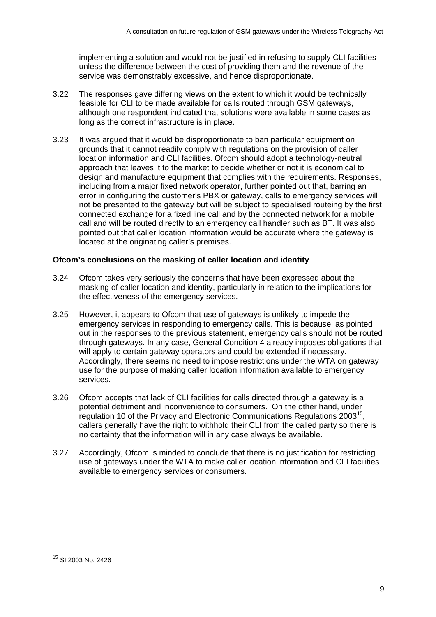implementing a solution and would not be justified in refusing to supply CLI facilities unless the difference between the cost of providing them and the revenue of the service was demonstrably excessive, and hence disproportionate.

- 3.22 The responses gave differing views on the extent to which it would be technically feasible for CLI to be made available for calls routed through GSM gateways, although one respondent indicated that solutions were available in some cases as long as the correct infrastructure is in place.
- 3.23 It was argued that it would be disproportionate to ban particular equipment on grounds that it cannot readily comply with regulations on the provision of caller location information and CLI facilities. Ofcom should adopt a technology-neutral approach that leaves it to the market to decide whether or not it is economical to design and manufacture equipment that complies with the requirements. Responses, including from a major fixed network operator, further pointed out that, barring an error in configuring the customer's PBX or gateway, calls to emergency services will not be presented to the gateway but will be subject to specialised routeing by the first connected exchange for a fixed line call and by the connected network for a mobile call and will be routed directly to an emergency call handler such as BT. It was also pointed out that caller location information would be accurate where the gateway is located at the originating caller's premises.

### **Ofcom's conclusions on the masking of caller location and identity**

- 3.24 Ofcom takes very seriously the concerns that have been expressed about the masking of caller location and identity, particularly in relation to the implications for the effectiveness of the emergency services.
- 3.25 However, it appears to Ofcom that use of gateways is unlikely to impede the emergency services in responding to emergency calls. This is because, as pointed out in the responses to the previous statement, emergency calls should not be routed through gateways. In any case, General Condition 4 already imposes obligations that will apply to certain gateway operators and could be extended if necessary. Accordingly, there seems no need to impose restrictions under the WTA on gateway use for the purpose of making caller location information available to emergency services.
- 3.26 Ofcom accepts that lack of CLI facilities for calls directed through a gateway is a potential detriment and inconvenience to consumers. On the other hand, under regulation 10 of the Privacy and Electronic Communications Regulations 2003<sup>15</sup>, callers generally have the right to withhold their CLI from the called party so there is no certainty that the information will in any case always be available.
- 3.27 Accordingly, Ofcom is minded to conclude that there is no justification for restricting use of gateways under the WTA to make caller location information and CLI facilities available to emergency services or consumers.

<sup>15</sup> SI 2003 No. 2426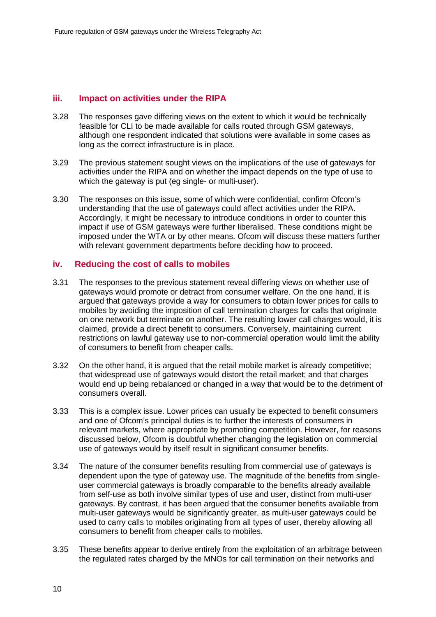#### **iii. Impact on activities under the RIPA**

- 3.28 The responses gave differing views on the extent to which it would be technically feasible for CLI to be made available for calls routed through GSM gateways, although one respondent indicated that solutions were available in some cases as long as the correct infrastructure is in place.
- 3.29 The previous statement sought views on the implications of the use of gateways for activities under the RIPA and on whether the impact depends on the type of use to which the gateway is put (eg single- or multi-user).
- 3.30 The responses on this issue, some of which were confidential, confirm Ofcom's understanding that the use of gateways could affect activities under the RIPA. Accordingly, it might be necessary to introduce conditions in order to counter this impact if use of GSM gateways were further liberalised. These conditions might be imposed under the WTA or by other means. Ofcom will discuss these matters further with relevant government departments before deciding how to proceed.

#### **iv. Reducing the cost of calls to mobiles**

- 3.31 The responses to the previous statement reveal differing views on whether use of gateways would promote or detract from consumer welfare. On the one hand, it is argued that gateways provide a way for consumers to obtain lower prices for calls to mobiles by avoiding the imposition of call termination charges for calls that originate on one network but terminate on another. The resulting lower call charges would, it is claimed, provide a direct benefit to consumers. Conversely, maintaining current restrictions on lawful gateway use to non-commercial operation would limit the ability of consumers to benefit from cheaper calls.
- 3.32 On the other hand, it is argued that the retail mobile market is already competitive; that widespread use of gateways would distort the retail market; and that charges would end up being rebalanced or changed in a way that would be to the detriment of consumers overall.
- 3.33 This is a complex issue. Lower prices can usually be expected to benefit consumers and one of Ofcom's principal duties is to further the interests of consumers in relevant markets, where appropriate by promoting competition. However, for reasons discussed below, Ofcom is doubtful whether changing the legislation on commercial use of gateways would by itself result in significant consumer benefits.
- 3.34 The nature of the consumer benefits resulting from commercial use of gateways is dependent upon the type of gateway use. The magnitude of the benefits from singleuser commercial gateways is broadly comparable to the benefits already available from self-use as both involve similar types of use and user, distinct from multi-user gateways. By contrast, it has been argued that the consumer benefits available from multi-user gateways would be significantly greater, as multi-user gateways could be used to carry calls to mobiles originating from all types of user, thereby allowing all consumers to benefit from cheaper calls to mobiles.
- 3.35 These benefits appear to derive entirely from the exploitation of an arbitrage between the regulated rates charged by the MNOs for call termination on their networks and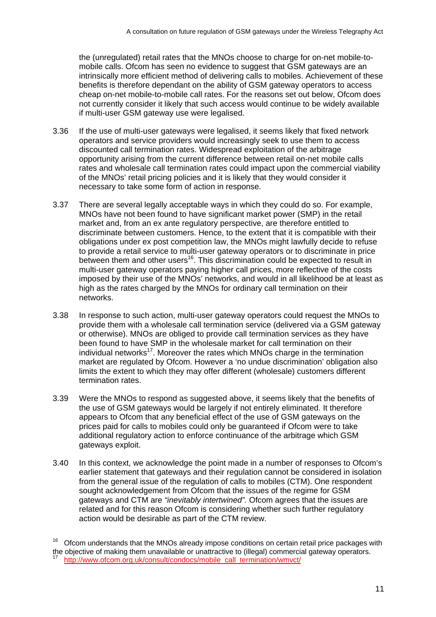the (unregulated) retail rates that the MNOs choose to charge for on-net mobile-tomobile calls. Ofcom has seen no evidence to suggest that GSM gateways are an intrinsically more efficient method of delivering calls to mobiles. Achievement of these benefits is therefore dependant on the ability of GSM gateway operators to access cheap on-net mobile-to-mobile call rates. For the reasons set out below, Ofcom does not currently consider it likely that such access would continue to be widely available if multi-user GSM gateway use were legalised.

- 3.36 If the use of multi-user gateways were legalised, it seems likely that fixed network operators and service providers would increasingly seek to use them to access discounted call termination rates. Widespread exploitation of the arbitrage opportunity arising from the current difference between retail on-net mobile calls rates and wholesale call termination rates could impact upon the commercial viability of the MNOs' retail pricing policies and it is likely that they would consider it necessary to take some form of action in response.
- 3.37 There are several legally acceptable ways in which they could do so. For example, MNOs have not been found to have significant market power (SMP) in the retail market and, from an ex ante regulatory perspective, are therefore entitled to discriminate between customers. Hence, to the extent that it is compatible with their obligations under ex post competition law, the MNOs might lawfully decide to refuse to provide a retail service to multi-user gateway operators or to discriminate in price between them and other users<sup>16</sup>. This discrimination could be expected to result in multi-user gateway operators paying higher call prices, more reflective of the costs imposed by their use of the MNOs' networks, and would in all likelihood be at least as high as the rates charged by the MNOs for ordinary call termination on their networks.
- 3.38 In response to such action, multi-user gateway operators could request the MNOs to provide them with a wholesale call termination service (delivered via a GSM gateway or otherwise). MNOs are obliged to provide call termination services as they have been found to have SMP in the wholesale market for call termination on their individual networks<sup>17</sup>. Moreover the rates which MNOs charge in the termination market are regulated by Ofcom. However a 'no undue discrimination' obligation also limits the extent to which they may offer different (wholesale) customers different termination rates.
- 3.39 Were the MNOs to respond as suggested above, it seems likely that the benefits of the use of GSM gateways would be largely if not entirely eliminated. It therefore appears to Ofcom that any beneficial effect of the use of GSM gateways on the prices paid for calls to mobiles could only be guaranteed if Ofcom were to take additional regulatory action to enforce continuance of the arbitrage which GSM gateways exploit.
- 3.40 In this context, we acknowledge the point made in a number of responses to Ofcom's earlier statement that gateways and their regulation cannot be considered in isolation from the general issue of the regulation of calls to mobiles (CTM). One respondent sought acknowledgement from Ofcom that the issues of the regime for GSM gateways and CTM are *"inevitably intertwined".* Ofcom agrees that the issues are related and for this reason Ofcom is considering whether such further regulatory action would be desirable as part of the CTM review.

 $16$  Ofcom understands that the MNOs already impose conditions on certain retail price packages with the objective of making them unavailable or unattractive to (illegal) commercial gateway operators. http://www.ofcom.org.uk/consult/condocs/mobile\_call\_termination/wmvct/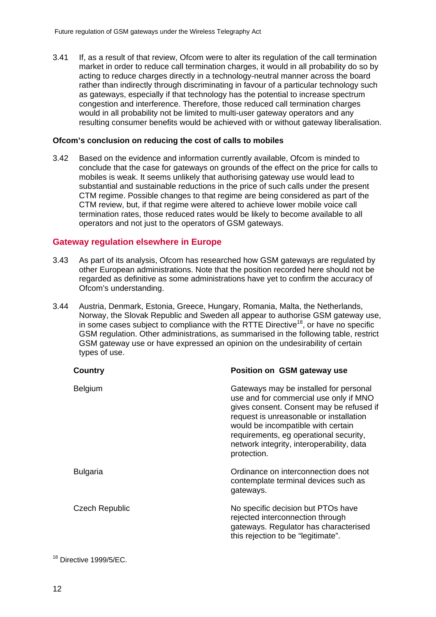3.41 If, as a result of that review, Ofcom were to alter its regulation of the call termination market in order to reduce call termination charges, it would in all probability do so by acting to reduce charges directly in a technology-neutral manner across the board rather than indirectly through discriminating in favour of a particular technology such as gateways, especially if that technology has the potential to increase spectrum congestion and interference. Therefore, those reduced call termination charges would in all probability not be limited to multi-user gateway operators and any resulting consumer benefits would be achieved with or without gateway liberalisation.

#### **Ofcom's conclusion on reducing the cost of calls to mobiles**

3.42 Based on the evidence and information currently available, Ofcom is minded to conclude that the case for gateways on grounds of the effect on the price for calls to mobiles is weak. It seems unlikely that authorising gateway use would lead to substantial and sustainable reductions in the price of such calls under the present CTM regime. Possible changes to that regime are being considered as part of the CTM review, but, if that regime were altered to achieve lower mobile voice call termination rates, those reduced rates would be likely to become available to all operators and not just to the operators of GSM gateways.

#### **Gateway regulation elsewhere in Europe**

- 3.43 As part of its analysis, Ofcom has researched how GSM gateways are regulated by other European administrations. Note that the position recorded here should not be regarded as definitive as some administrations have yet to confirm the accuracy of Ofcom's understanding.
- 3.44 Austria, Denmark, Estonia, Greece, Hungary, Romania, Malta, the Netherlands, Norway, the Slovak Republic and Sweden all appear to authorise GSM gateway use, in some cases subject to compliance with the RTTE Directive<sup>18</sup>, or have no specific GSM regulation. Other administrations, as summarised in the following table, restrict GSM gateway use or have expressed an opinion on the undesirability of certain types of use.

| Country               | Position on GSM gateway use                                                                                                                                                                                                                                                                                         |
|-----------------------|---------------------------------------------------------------------------------------------------------------------------------------------------------------------------------------------------------------------------------------------------------------------------------------------------------------------|
| <b>Belgium</b>        | Gateways may be installed for personal<br>use and for commercial use only if MNO<br>gives consent. Consent may be refused if<br>request is unreasonable or installation<br>would be incompatible with certain<br>requirements, eg operational security,<br>network integrity, interoperability, data<br>protection. |
| <b>Bulgaria</b>       | Ordinance on interconnection does not<br>contemplate terminal devices such as<br>gateways.                                                                                                                                                                                                                          |
| <b>Czech Republic</b> | No specific decision but PTOs have<br>rejected interconnection through<br>gateways. Regulator has characterised<br>this rejection to be "legitimate".                                                                                                                                                               |
|                       |                                                                                                                                                                                                                                                                                                                     |

 $18$  Directive 1999/5/EC.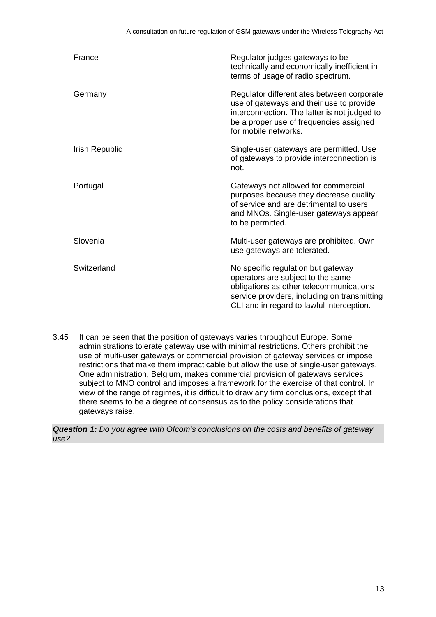| France         | Regulator judges gateways to be<br>technically and economically inefficient in<br>terms of usage of radio spectrum.                                                                                             |  |  |
|----------------|-----------------------------------------------------------------------------------------------------------------------------------------------------------------------------------------------------------------|--|--|
| Germany        | Regulator differentiates between corporate<br>use of gateways and their use to provide<br>interconnection. The latter is not judged to<br>be a proper use of frequencies assigned<br>for mobile networks.       |  |  |
| Irish Republic | Single-user gateways are permitted. Use<br>of gateways to provide interconnection is<br>not.                                                                                                                    |  |  |
| Portugal       | Gateways not allowed for commercial<br>purposes because they decrease quality<br>of service and are detrimental to users<br>and MNOs. Single-user gateways appear<br>to be permitted.                           |  |  |
| Slovenia       | Multi-user gateways are prohibited. Own<br>use gateways are tolerated.                                                                                                                                          |  |  |
| Switzerland    | No specific regulation but gateway<br>operators are subject to the same<br>obligations as other telecommunications<br>service providers, including on transmitting<br>CLI and in regard to lawful interception. |  |  |

3.45 It can be seen that the position of gateways varies throughout Europe. Some administrations tolerate gateway use with minimal restrictions. Others prohibit the use of multi-user gateways or commercial provision of gateway services or impose restrictions that make them impracticable but allow the use of single-user gateways. One administration, Belgium, makes commercial provision of gateways services subject to MNO control and imposes a framework for the exercise of that control. In view of the range of regimes, it is difficult to draw any firm conclusions, except that there seems to be a degree of consensus as to the policy considerations that gateways raise.

*Question 1: Do you agree with Ofcom's conclusions on the costs and benefits of gateway use?*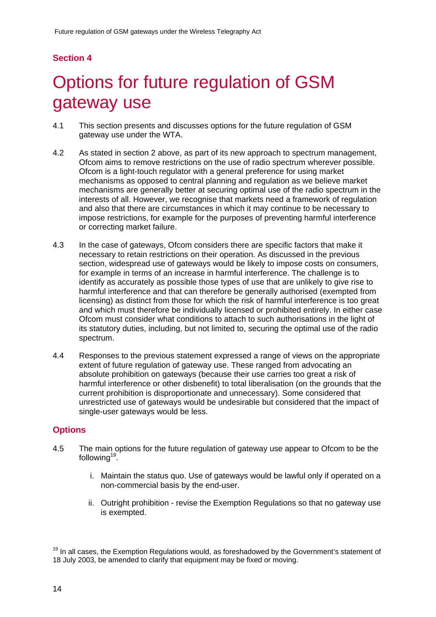# **Section 4**

# 4 Options for future regulation of GSM gateway use

- 4.1 This section presents and discusses options for the future regulation of GSM gateway use under the WTA.
- 4.2 As stated in section 2 above, as part of its new approach to spectrum management, Ofcom aims to remove restrictions on the use of radio spectrum wherever possible. Ofcom is a light-touch regulator with a general preference for using market mechanisms as opposed to central planning and regulation as we believe market mechanisms are generally better at securing optimal use of the radio spectrum in the interests of all. However, we recognise that markets need a framework of regulation and also that there are circumstances in which it may continue to be necessary to impose restrictions, for example for the purposes of preventing harmful interference or correcting market failure.
- 4.3 In the case of gateways, Ofcom considers there are specific factors that make it necessary to retain restrictions on their operation. As discussed in the previous section, widespread use of gateways would be likely to impose costs on consumers, for example in terms of an increase in harmful interference. The challenge is to identify as accurately as possible those types of use that are unlikely to give rise to harmful interference and that can therefore be generally authorised (exempted from licensing) as distinct from those for which the risk of harmful interference is too great and which must therefore be individually licensed or prohibited entirely. In either case Ofcom must consider what conditions to attach to such authorisations in the light of its statutory duties, including, but not limited to, securing the optimal use of the radio spectrum.
- 4.4 Responses to the previous statement expressed a range of views on the appropriate extent of future regulation of gateway use. These ranged from advocating an absolute prohibition on gateways (because their use carries too great a risk of harmful interference or other disbenefit) to total liberalisation (on the grounds that the current prohibition is disproportionate and unnecessary). Some considered that unrestricted use of gateways would be undesirable but considered that the impact of single-user gateways would be less.

## **Options**

- 4.5 The main options for the future regulation of gateway use appear to Ofcom to be the following $19$ .
	- i. Maintain the status quo. Use of gateways would be lawful only if operated on a non-commercial basis by the end-user.
	- ii. Outright prohibition revise the Exemption Regulations so that no gateway use is exempted.

 $19$  In all cases, the Exemption Regulations would, as foreshadowed by the Government's statement of 18 July 2003, be amended to clarify that equipment may be fixed or moving.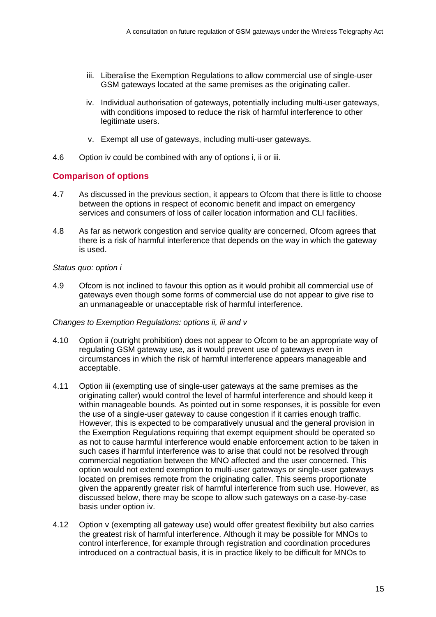- iii. Liberalise the Exemption Regulations to allow commercial use of single-user GSM gateways located at the same premises as the originating caller.
- iv. Individual authorisation of gateways, potentially including multi-user gateways, with conditions imposed to reduce the risk of harmful interference to other legitimate users.
- v. Exempt all use of gateways, including multi-user gateways.
- 4.6 Option iv could be combined with any of options i, ii or iii.

### **Comparison of options**

- 4.7 As discussed in the previous section, it appears to Ofcom that there is little to choose between the options in respect of economic benefit and impact on emergency services and consumers of loss of caller location information and CLI facilities.
- 4.8 As far as network congestion and service quality are concerned, Ofcom agrees that there is a risk of harmful interference that depends on the way in which the gateway is used.

#### *Status quo: option i*

4.9 Ofcom is not inclined to favour this option as it would prohibit all commercial use of gateways even though some forms of commercial use do not appear to give rise to an unmanageable or unacceptable risk of harmful interference.

#### *Changes to Exemption Regulations: options ii, iii and v*

- 4.10 Option ii (outright prohibition) does not appear to Ofcom to be an appropriate way of regulating GSM gateway use, as it would prevent use of gateways even in circumstances in which the risk of harmful interference appears manageable and acceptable.
- 4.11 Option iii (exempting use of single-user gateways at the same premises as the originating caller) would control the level of harmful interference and should keep it within manageable bounds. As pointed out in some responses, it is possible for even the use of a single-user gateway to cause congestion if it carries enough traffic. However, this is expected to be comparatively unusual and the general provision in the Exemption Regulations requiring that exempt equipment should be operated so as not to cause harmful interference would enable enforcement action to be taken in such cases if harmful interference was to arise that could not be resolved through commercial negotiation between the MNO affected and the user concerned. This option would not extend exemption to multi-user gateways or single-user gateways located on premises remote from the originating caller. This seems proportionate given the apparently greater risk of harmful interference from such use. However, as discussed below, there may be scope to allow such gateways on a case-by-case basis under option iv.
- 4.12 Option v (exempting all gateway use) would offer greatest flexibility but also carries the greatest risk of harmful interference. Although it may be possible for MNOs to control interference, for example through registration and coordination procedures introduced on a contractual basis, it is in practice likely to be difficult for MNOs to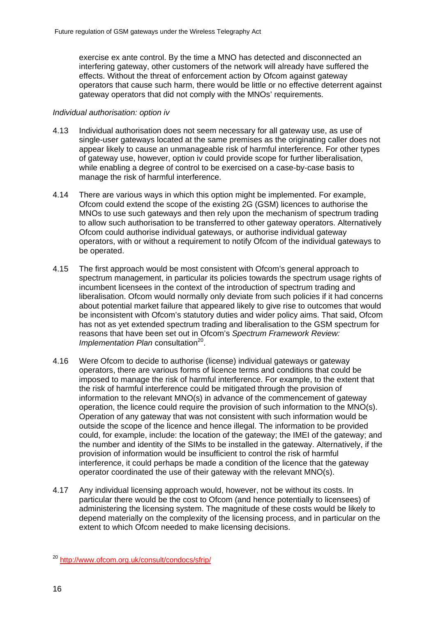exercise ex ante control. By the time a MNO has detected and disconnected an interfering gateway, other customers of the network will already have suffered the effects. Without the threat of enforcement action by Ofcom against gateway operators that cause such harm, there would be little or no effective deterrent against gateway operators that did not comply with the MNOs' requirements.

#### *Individual authorisation: option iv*

- 4.13 Individual authorisation does not seem necessary for all gateway use, as use of single-user gateways located at the same premises as the originating caller does not appear likely to cause an unmanageable risk of harmful interference. For other types of gateway use, however, option iv could provide scope for further liberalisation, while enabling a degree of control to be exercised on a case-by-case basis to manage the risk of harmful interference.
- 4.14 There are various ways in which this option might be implemented. For example, Ofcom could extend the scope of the existing 2G (GSM) licences to authorise the MNOs to use such gateways and then rely upon the mechanism of spectrum trading to allow such authorisation to be transferred to other gateway operators. Alternatively Ofcom could authorise individual gateways, or authorise individual gateway operators, with or without a requirement to notify Ofcom of the individual gateways to be operated.
- 4.15 The first approach would be most consistent with Ofcom's general approach to spectrum management, in particular its policies towards the spectrum usage rights of incumbent licensees in the context of the introduction of spectrum trading and liberalisation. Ofcom would normally only deviate from such policies if it had concerns about potential market failure that appeared likely to give rise to outcomes that would be inconsistent with Ofcom's statutory duties and wider policy aims. That said, Ofcom has not as yet extended spectrum trading and liberalisation to the GSM spectrum for reasons that have been set out in Ofcom's *Spectrum Framework Review: Implementation Plan consultation*<sup>20</sup>.
- 4.16 Were Ofcom to decide to authorise (license) individual gateways or gateway operators, there are various forms of licence terms and conditions that could be imposed to manage the risk of harmful interference. For example, to the extent that the risk of harmful interference could be mitigated through the provision of information to the relevant MNO(s) in advance of the commencement of gateway operation, the licence could require the provision of such information to the MNO(s). Operation of any gateway that was not consistent with such information would be outside the scope of the licence and hence illegal. The information to be provided could, for example, include: the location of the gateway; the IMEI of the gateway; and the number and identity of the SIMs to be installed in the gateway. Alternatively, if the provision of information would be insufficient to control the risk of harmful interference, it could perhaps be made a condition of the licence that the gateway operator coordinated the use of their gateway with the relevant MNO(s).
- 4.17 Any individual licensing approach would, however, not be without its costs. In particular there would be the cost to Ofcom (and hence potentially to licensees) of administering the licensing system. The magnitude of these costs would be likely to depend materially on the complexity of the licensing process, and in particular on the extent to which Ofcom needed to make licensing decisions.

<sup>20</sup> http://www.ofcom.org.uk/consult/condocs/sfrip/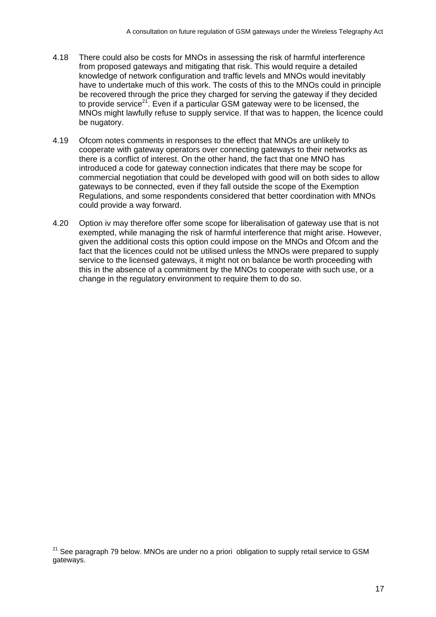- 4.18 There could also be costs for MNOs in assessing the risk of harmful interference from proposed gateways and mitigating that risk. This would require a detailed knowledge of network configuration and traffic levels and MNOs would inevitably have to undertake much of this work. The costs of this to the MNOs could in principle be recovered through the price they charged for serving the gateway if they decided to provide service<sup>21</sup>. Even if a particular GSM gateway were to be licensed, the MNOs might lawfully refuse to supply service. If that was to happen, the licence could be nugatory.
- 4.19 Ofcom notes comments in responses to the effect that MNOs are unlikely to cooperate with gateway operators over connecting gateways to their networks as there is a conflict of interest. On the other hand, the fact that one MNO has introduced a code for gateway connection indicates that there may be scope for commercial negotiation that could be developed with good will on both sides to allow gateways to be connected, even if they fall outside the scope of the Exemption Regulations, and some respondents considered that better coordination with MNOs could provide a way forward.
- 4.20 Option iv may therefore offer some scope for liberalisation of gateway use that is not exempted, while managing the risk of harmful interference that might arise. However, given the additional costs this option could impose on the MNOs and Ofcom and the fact that the licences could not be utilised unless the MNOs were prepared to supply service to the licensed gateways, it might not on balance be worth proceeding with this in the absence of a commitment by the MNOs to cooperate with such use, or a change in the regulatory environment to require them to do so.

 $21$  See paragraph 79 below. MNOs are under no a priori obligation to supply retail service to GSM gateways.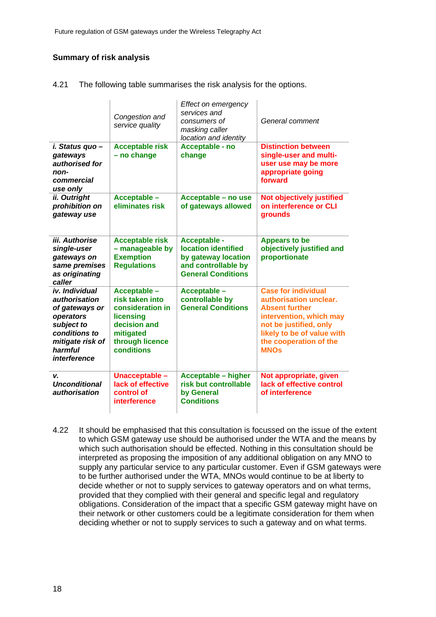### **Summary of risk analysis**

4.21 The following table summarises the risk analysis for the options.

|                                                                                                                                                            | Congestion and<br>service quality                                                                                              | Effect on emergency<br>services and<br>consumers of<br>masking caller<br>location and identity                        | General comment                                                                                                                                                                                           |
|------------------------------------------------------------------------------------------------------------------------------------------------------------|--------------------------------------------------------------------------------------------------------------------------------|-----------------------------------------------------------------------------------------------------------------------|-----------------------------------------------------------------------------------------------------------------------------------------------------------------------------------------------------------|
| i. Status quo -<br>gateways<br>authorised for<br>non-<br>commercial<br>use only                                                                            | <b>Acceptable risk</b><br>- no change                                                                                          | Acceptable - no<br>change                                                                                             | <b>Distinction between</b><br>single-user and multi-<br>user use may be more<br>appropriate going<br>forward                                                                                              |
| ii. Outright<br>prohibition on<br>gateway use                                                                                                              | Acceptable -<br>eliminates risk                                                                                                | Acceptable - no use<br>of gateways allowed                                                                            | <b>Not objectively justified</b><br>on interference or CLI<br>grounds                                                                                                                                     |
| iii. Authorise<br>single-user<br>gateways on<br>same premises<br>as originating<br>caller                                                                  | <b>Acceptable risk</b><br>- manageable by<br><b>Exemption</b><br><b>Regulations</b>                                            | Acceptable -<br><b>location identified</b><br>by gateway location<br>and controllable by<br><b>General Conditions</b> | <b>Appears to be</b><br>objectively justified and<br>proportionate                                                                                                                                        |
| iv. Individual<br><i>authorisation</i><br>of gateways or<br>operators<br>subject to<br>conditions to<br>mitigate risk of<br>harmful<br><i>interference</i> | Acceptable -<br>risk taken into<br>consideration in<br>licensing<br>decision and<br>mitigated<br>through licence<br>conditions | Acceptable -<br>controllable by<br><b>General Conditions</b>                                                          | <b>Case for individual</b><br>authorisation unclear.<br><b>Absent further</b><br>intervention, which may<br>not be justified, only<br>likely to be of value with<br>the cooperation of the<br><b>MNOs</b> |
| v.<br><b>Unconditional</b><br><i>authorisation</i>                                                                                                         | Unacceptable -<br>lack of effective<br>control of<br>interference                                                              | <b>Acceptable - higher</b><br>risk but controllable<br>by General<br><b>Conditions</b>                                | Not appropriate, given<br>lack of effective control<br>of interference                                                                                                                                    |

4.22 It should be emphasised that this consultation is focussed on the issue of the extent to which GSM gateway use should be authorised under the WTA and the means by which such authorisation should be effected. Nothing in this consultation should be interpreted as proposing the imposition of any additional obligation on any MNO to supply any particular service to any particular customer. Even if GSM gateways were to be further authorised under the WTA, MNOs would continue to be at liberty to decide whether or not to supply services to gateway operators and on what terms, provided that they complied with their general and specific legal and regulatory obligations. Consideration of the impact that a specific GSM gateway might have on their network or other customers could be a legitimate consideration for them when deciding whether or not to supply services to such a gateway and on what terms.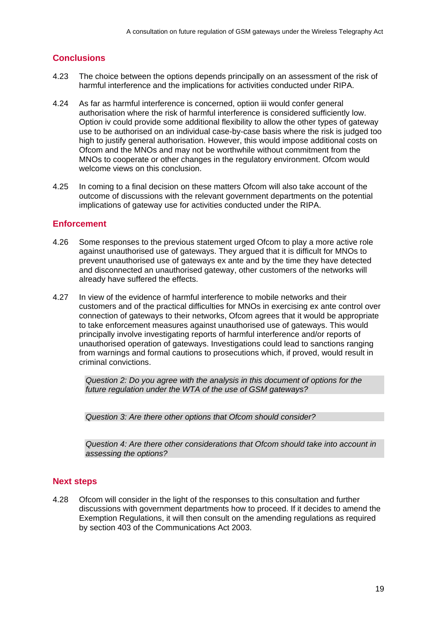## **Conclusions**

- 4.23 The choice between the options depends principally on an assessment of the risk of harmful interference and the implications for activities conducted under RIPA.
- 4.24 As far as harmful interference is concerned, option iii would confer general authorisation where the risk of harmful interference is considered sufficiently low. Option iv could provide some additional flexibility to allow the other types of gateway use to be authorised on an individual case-by-case basis where the risk is judged too high to justify general authorisation. However, this would impose additional costs on Ofcom and the MNOs and may not be worthwhile without commitment from the MNOs to cooperate or other changes in the regulatory environment. Ofcom would welcome views on this conclusion.
- 4.25 In coming to a final decision on these matters Ofcom will also take account of the outcome of discussions with the relevant government departments on the potential implications of gateway use for activities conducted under the RIPA.

## **Enforcement**

- 4.26 Some responses to the previous statement urged Ofcom to play a more active role against unauthorised use of gateways. They argued that it is difficult for MNOs to prevent unauthorised use of gateways ex ante and by the time they have detected and disconnected an unauthorised gateway, other customers of the networks will already have suffered the effects.
- 4.27 In view of the evidence of harmful interference to mobile networks and their customers and of the practical difficulties for MNOs in exercising ex ante control over connection of gateways to their networks, Ofcom agrees that it would be appropriate to take enforcement measures against unauthorised use of gateways. This would principally involve investigating reports of harmful interference and/or reports of unauthorised operation of gateways. Investigations could lead to sanctions ranging from warnings and formal cautions to prosecutions which, if proved, would result in criminal convictions.

*Question 2: Do you agree with the analysis in this document of options for the future regulation under the WTA of the use of GSM gateways?* 

*Question 3: Are there other options that Ofcom should consider?* 

*Question 4: Are there other considerations that Ofcom should take into account in assessing the options?* 

### **Next steps**

4.28 Ofcom will consider in the light of the responses to this consultation and further discussions with government departments how to proceed. If it decides to amend the Exemption Regulations, it will then consult on the amending regulations as required by section 403 of the Communications Act 2003.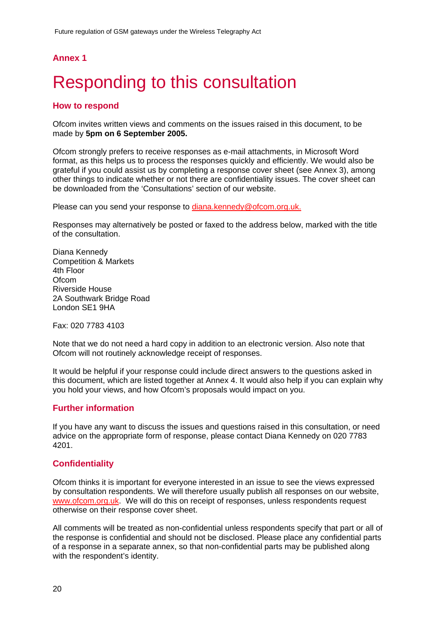## **Annex 1**

# **Responding to this consultation**

## **How to respond**

Ofcom invites written views and comments on the issues raised in this document, to be made by **5pm on 6 September 2005.**

Ofcom strongly prefers to receive responses as e-mail attachments, in Microsoft Word format, as this helps us to process the responses quickly and efficiently. We would also be grateful if you could assist us by completing a response cover sheet (see Annex 3), among other things to indicate whether or not there are confidentiality issues. The cover sheet can be downloaded from the 'Consultations' section of our website.

Please can you send your response to diana.kennedy@ofcom.org.uk.

Responses may alternatively be posted or faxed to the address below, marked with the title of the consultation.

Diana Kennedy Competition & Markets 4th Floor **Ofcom** Riverside House 2A Southwark Bridge Road London SE1 9HA

Fax: 020 7783 4103

Note that we do not need a hard copy in addition to an electronic version. Also note that Ofcom will not routinely acknowledge receipt of responses.

It would be helpful if your response could include direct answers to the questions asked in this document, which are listed together at Annex 4. It would also help if you can explain why you hold your views, and how Ofcom's proposals would impact on you.

### **Further information**

If you have any want to discuss the issues and questions raised in this consultation, or need advice on the appropriate form of response, please contact Diana Kennedy on 020 7783 4201.

### **Confidentiality**

Ofcom thinks it is important for everyone interested in an issue to see the views expressed by consultation respondents. We will therefore usually publish all responses on our website, www.ofcom.org.uk. We will do this on receipt of responses, unless respondents request otherwise on their response cover sheet.

All comments will be treated as non-confidential unless respondents specify that part or all of the response is confidential and should not be disclosed. Please place any confidential parts of a response in a separate annex, so that non-confidential parts may be published along with the respondent's identity.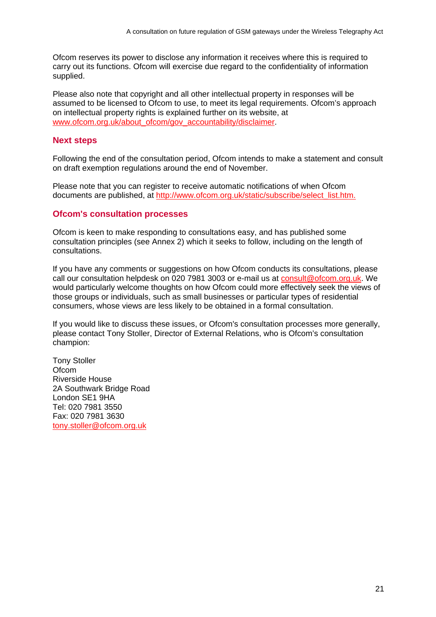Ofcom reserves its power to disclose any information it receives where this is required to carry out its functions. Ofcom will exercise due regard to the confidentiality of information supplied.

Please also note that copyright and all other intellectual property in responses will be assumed to be licensed to Ofcom to use, to meet its legal requirements. Ofcom's approach on intellectual property rights is explained further on its website, at www.ofcom.org.uk/about\_ofcom/gov\_accountability/disclaimer.

### **Next steps**

Following the end of the consultation period, Ofcom intends to make a statement and consult on draft exemption regulations around the end of November.

Please note that you can register to receive automatic notifications of when Ofcom documents are published, at http://www.ofcom.org.uk/static/subscribe/select\_list.htm.

### **Ofcom's consultation processes**

Ofcom is keen to make responding to consultations easy, and has published some consultation principles (see Annex 2) which it seeks to follow, including on the length of consultations.

If you have any comments or suggestions on how Ofcom conducts its consultations, please call our consultation helpdesk on 020 7981 3003 or e-mail us at consult@ofcom.org.uk. We would particularly welcome thoughts on how Ofcom could more effectively seek the views of those groups or individuals, such as small businesses or particular types of residential consumers, whose views are less likely to be obtained in a formal consultation.

If you would like to discuss these issues, or Ofcom's consultation processes more generally, please contact Tony Stoller, Director of External Relations, who is Ofcom's consultation champion:

Tony Stoller **Ofcom** Riverside House 2A Southwark Bridge Road London SE1 9HA Tel: 020 7981 3550 Fax: 020 7981 3630 tony.stoller@ofcom.org.uk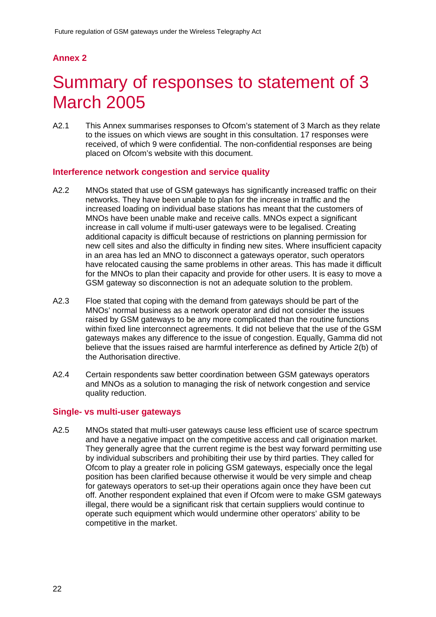# **Annex 2**

# 2 Summary of responses to statement of 3 March 2005

A2.1 This Annex summarises responses to Ofcom's statement of 3 March as they relate to the issues on which views are sought in this consultation. 17 responses were received, of which 9 were confidential. The non-confidential responses are being placed on Ofcom's website with this document.

### **Interference network congestion and service quality**

- A2.2 MNOs stated that use of GSM gateways has significantly increased traffic on their networks. They have been unable to plan for the increase in traffic and the increased loading on individual base stations has meant that the customers of MNOs have been unable make and receive calls. MNOs expect a significant increase in call volume if multi-user gateways were to be legalised. Creating additional capacity is difficult because of restrictions on planning permission for new cell sites and also the difficulty in finding new sites. Where insufficient capacity in an area has led an MNO to disconnect a gateways operator, such operators have relocated causing the same problems in other areas. This has made it difficult for the MNOs to plan their capacity and provide for other users. It is easy to move a GSM gateway so disconnection is not an adequate solution to the problem.
- A2.3 Floe stated that coping with the demand from gateways should be part of the MNOs' normal business as a network operator and did not consider the issues raised by GSM gateways to be any more complicated than the routine functions within fixed line interconnect agreements. It did not believe that the use of the GSM gateways makes any difference to the issue of congestion. Equally, Gamma did not believe that the issues raised are harmful interference as defined by Article 2(b) of the Authorisation directive.
- A2.4 Certain respondents saw better coordination between GSM gateways operators and MNOs as a solution to managing the risk of network congestion and service quality reduction.

#### **Single- vs multi-user gateways**

A2.5 MNOs stated that multi-user gateways cause less efficient use of scarce spectrum and have a negative impact on the competitive access and call origination market. They generally agree that the current regime is the best way forward permitting use by individual subscribers and prohibiting their use by third parties. They called for Ofcom to play a greater role in policing GSM gateways, especially once the legal position has been clarified because otherwise it would be very simple and cheap for gateways operators to set-up their operations again once they have been cut off. Another respondent explained that even if Ofcom were to make GSM gateways illegal, there would be a significant risk that certain suppliers would continue to operate such equipment which would undermine other operators' ability to be competitive in the market.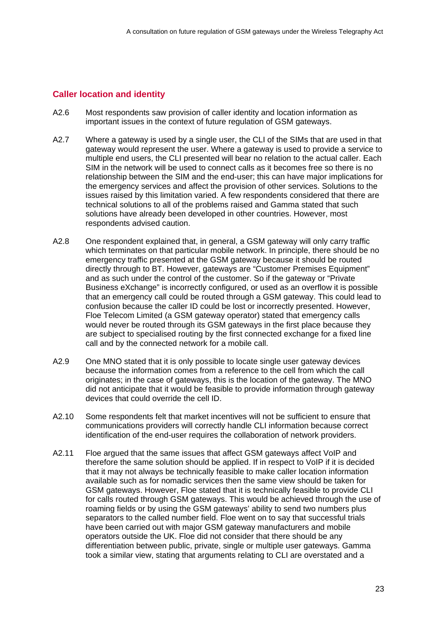### **Caller location and identity**

- A2.6 Most respondents saw provision of caller identity and location information as important issues in the context of future regulation of GSM gateways.
- A2.7 Where a gateway is used by a single user, the CLI of the SIMs that are used in that gateway would represent the user. Where a gateway is used to provide a service to multiple end users, the CLI presented will bear no relation to the actual caller. Each SIM in the network will be used to connect calls as it becomes free so there is no relationship between the SIM and the end-user; this can have major implications for the emergency services and affect the provision of other services. Solutions to the issues raised by this limitation varied. A few respondents considered that there are technical solutions to all of the problems raised and Gamma stated that such solutions have already been developed in other countries. However, most respondents advised caution.
- A2.8 One respondent explained that, in general, a GSM gateway will only carry traffic which terminates on that particular mobile network. In principle, there should be no emergency traffic presented at the GSM gateway because it should be routed directly through to BT. However, gateways are "Customer Premises Equipment" and as such under the control of the customer. So if the gateway or "Private Business eXchange" is incorrectly configured, or used as an overflow it is possible that an emergency call could be routed through a GSM gateway. This could lead to confusion because the caller ID could be lost or incorrectly presented. However, Floe Telecom Limited (a GSM gateway operator) stated that emergency calls would never be routed through its GSM gateways in the first place because they are subject to specialised routing by the first connected exchange for a fixed line call and by the connected network for a mobile call.
- A2.9 One MNO stated that it is only possible to locate single user gateway devices because the information comes from a reference to the cell from which the call originates; in the case of gateways, this is the location of the gateway. The MNO did not anticipate that it would be feasible to provide information through gateway devices that could override the cell ID.
- A2.10 Some respondents felt that market incentives will not be sufficient to ensure that communications providers will correctly handle CLI information because correct identification of the end-user requires the collaboration of network providers.
- A2.11 Floe argued that the same issues that affect GSM gateways affect VoIP and therefore the same solution should be applied. If in respect to VoIP if it is decided that it may not always be technically feasible to make caller location information available such as for nomadic services then the same view should be taken for GSM gateways. However, Floe stated that it is technically feasible to provide CLI for calls routed through GSM gateways. This would be achieved through the use of roaming fields or by using the GSM gateways' ability to send two numbers plus separators to the called number field. Floe went on to say that successful trials have been carried out with major GSM gateway manufacturers and mobile operators outside the UK. Floe did not consider that there should be any differentiation between public, private, single or multiple user gateways. Gamma took a similar view, stating that arguments relating to CLI are overstated and a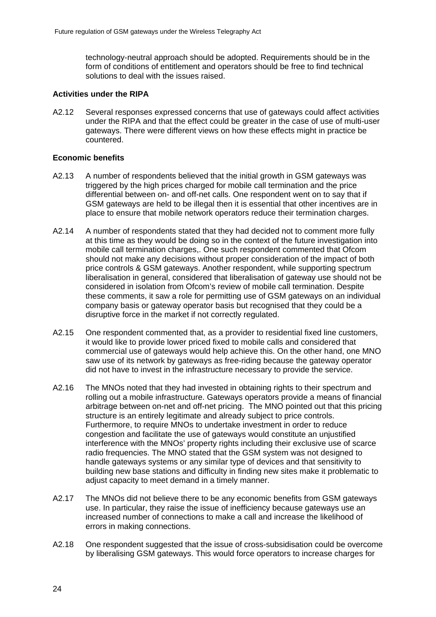technology-neutral approach should be adopted. Requirements should be in the form of conditions of entitlement and operators should be free to find technical solutions to deal with the issues raised.

#### **Activities under the RIPA**

A2.12 Several responses expressed concerns that use of gateways could affect activities under the RIPA and that the effect could be greater in the case of use of multi-user gateways. There were different views on how these effects might in practice be countered.

#### **Economic benefits**

- A2.13 A number of respondents believed that the initial growth in GSM gateways was triggered by the high prices charged for mobile call termination and the price differential between on- and off-net calls. One respondent went on to say that if GSM gateways are held to be illegal then it is essential that other incentives are in place to ensure that mobile network operators reduce their termination charges.
- A2.14 A number of respondents stated that they had decided not to comment more fully at this time as they would be doing so in the context of the future investigation into mobile call termination charges,. One such respondent commented that Ofcom should not make any decisions without proper consideration of the impact of both price controls & GSM gateways. Another respondent, while supporting spectrum liberalisation in general, considered that liberalisation of gateway use should not be considered in isolation from Ofcom's review of mobile call termination. Despite these comments, it saw a role for permitting use of GSM gateways on an individual company basis or gateway operator basis but recognised that they could be a disruptive force in the market if not correctly regulated.
- A2.15 One respondent commented that, as a provider to residential fixed line customers, it would like to provide lower priced fixed to mobile calls and considered that commercial use of gateways would help achieve this. On the other hand, one MNO saw use of its network by gateways as free-riding because the gateway operator did not have to invest in the infrastructure necessary to provide the service.
- A2.16 The MNOs noted that they had invested in obtaining rights to their spectrum and rolling out a mobile infrastructure. Gateways operators provide a means of financial arbitrage between on-net and off-net pricing. The MNO pointed out that this pricing structure is an entirely legitimate and already subject to price controls. Furthermore, to require MNOs to undertake investment in order to reduce congestion and facilitate the use of gateways would constitute an unjustified interference with the MNOs' property rights including their exclusive use of scarce radio frequencies. The MNO stated that the GSM system was not designed to handle gateways systems or any similar type of devices and that sensitivity to building new base stations and difficulty in finding new sites make it problematic to adjust capacity to meet demand in a timely manner.
- A2.17 The MNOs did not believe there to be any economic benefits from GSM gateways use. In particular, they raise the issue of inefficiency because gateways use an increased number of connections to make a call and increase the likelihood of errors in making connections.
- A2.18 One respondent suggested that the issue of cross-subsidisation could be overcome by liberalising GSM gateways. This would force operators to increase charges for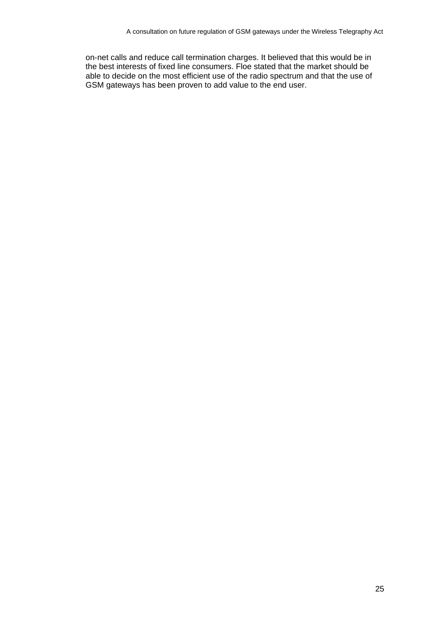on-net calls and reduce call termination charges. It believed that this would be in the best interests of fixed line consumers. Floe stated that the market should be able to decide on the most efficient use of the radio spectrum and that the use of GSM gateways has been proven to add value to the end user.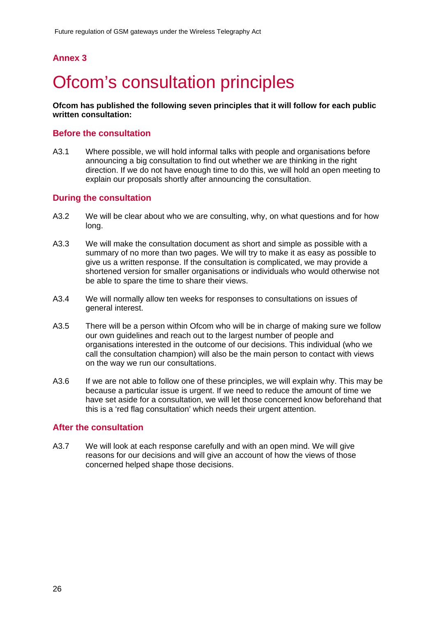## **Annex 3**

# **Ofcom's consultation principles**

**Ofcom has published the following seven principles that it will follow for each public written consultation:** 

### **Before the consultation**

A3.1 Where possible, we will hold informal talks with people and organisations before announcing a big consultation to find out whether we are thinking in the right direction. If we do not have enough time to do this, we will hold an open meeting to explain our proposals shortly after announcing the consultation.

### **During the consultation**

- A3.2 We will be clear about who we are consulting, why, on what questions and for how long.
- A3.3 We will make the consultation document as short and simple as possible with a summary of no more than two pages. We will try to make it as easy as possible to give us a written response. If the consultation is complicated, we may provide a shortened version for smaller organisations or individuals who would otherwise not be able to spare the time to share their views.
- A3.4 We will normally allow ten weeks for responses to consultations on issues of general interest.
- A3.5 There will be a person within Ofcom who will be in charge of making sure we follow our own guidelines and reach out to the largest number of people and organisations interested in the outcome of our decisions. This individual (who we call the consultation champion) will also be the main person to contact with views on the way we run our consultations.
- A3.6 If we are not able to follow one of these principles, we will explain why. This may be because a particular issue is urgent. If we need to reduce the amount of time we have set aside for a consultation, we will let those concerned know beforehand that this is a 'red flag consultation' which needs their urgent attention.

#### **After the consultation**

A3.7 We will look at each response carefully and with an open mind. We will give reasons for our decisions and will give an account of how the views of those concerned helped shape those decisions.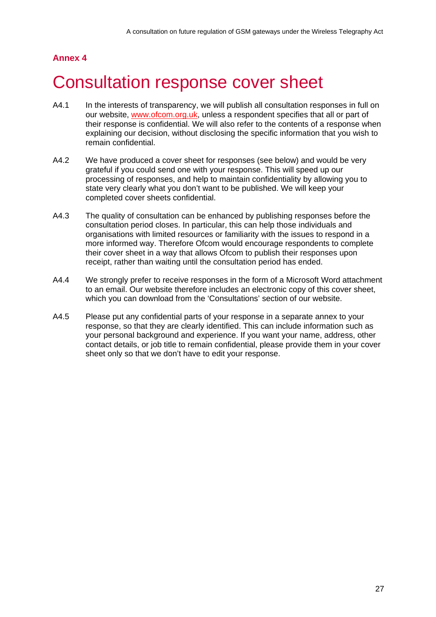# **Annex 4**

# 4 Consultation response cover sheet

- A4.1 In the interests of transparency, we will publish all consultation responses in full on our website, www.ofcom.org.uk, unless a respondent specifies that all or part of their response is confidential. We will also refer to the contents of a response when explaining our decision, without disclosing the specific information that you wish to remain confidential.
- A4.2 We have produced a cover sheet for responses (see below) and would be very grateful if you could send one with your response. This will speed up our processing of responses, and help to maintain confidentiality by allowing you to state very clearly what you don't want to be published. We will keep your completed cover sheets confidential.
- A4.3 The quality of consultation can be enhanced by publishing responses before the consultation period closes. In particular, this can help those individuals and organisations with limited resources or familiarity with the issues to respond in a more informed way. Therefore Ofcom would encourage respondents to complete their cover sheet in a way that allows Ofcom to publish their responses upon receipt, rather than waiting until the consultation period has ended.
- A4.4 We strongly prefer to receive responses in the form of a Microsoft Word attachment to an email. Our website therefore includes an electronic copy of this cover sheet, which you can download from the 'Consultations' section of our website.
- A4.5 Please put any confidential parts of your response in a separate annex to your response, so that they are clearly identified. This can include information such as your personal background and experience. If you want your name, address, other contact details, or job title to remain confidential, please provide them in your cover sheet only so that we don't have to edit your response.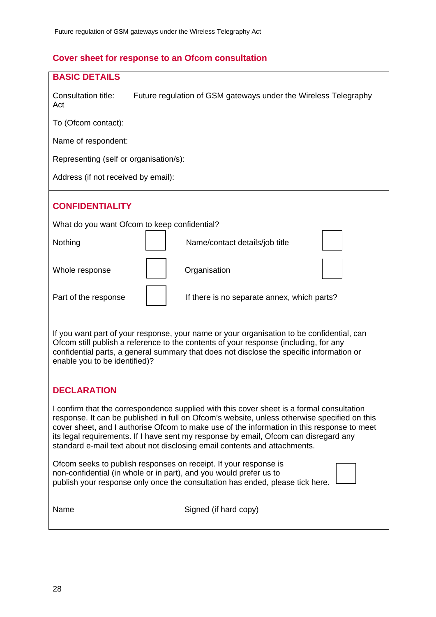# **Cover sheet for response to an Ofcom consultation**

| <b>BASIC DETAILS</b>                                                                                                                                                                                                                                                                                                                                                                                                                                         |  |  |  |  |  |  |
|--------------------------------------------------------------------------------------------------------------------------------------------------------------------------------------------------------------------------------------------------------------------------------------------------------------------------------------------------------------------------------------------------------------------------------------------------------------|--|--|--|--|--|--|
| Consultation title:<br>Future regulation of GSM gateways under the Wireless Telegraphy<br>Act                                                                                                                                                                                                                                                                                                                                                                |  |  |  |  |  |  |
| To (Ofcom contact):                                                                                                                                                                                                                                                                                                                                                                                                                                          |  |  |  |  |  |  |
| Name of respondent:                                                                                                                                                                                                                                                                                                                                                                                                                                          |  |  |  |  |  |  |
| Representing (self or organisation/s):                                                                                                                                                                                                                                                                                                                                                                                                                       |  |  |  |  |  |  |
| Address (if not received by email):                                                                                                                                                                                                                                                                                                                                                                                                                          |  |  |  |  |  |  |
| <b>CONFIDENTIALITY</b>                                                                                                                                                                                                                                                                                                                                                                                                                                       |  |  |  |  |  |  |
| What do you want Ofcom to keep confidential?                                                                                                                                                                                                                                                                                                                                                                                                                 |  |  |  |  |  |  |
| Nothing<br>Name/contact details/job title                                                                                                                                                                                                                                                                                                                                                                                                                    |  |  |  |  |  |  |
| Organisation<br>Whole response                                                                                                                                                                                                                                                                                                                                                                                                                               |  |  |  |  |  |  |
| Part of the response<br>If there is no separate annex, which parts?                                                                                                                                                                                                                                                                                                                                                                                          |  |  |  |  |  |  |
| If you want part of your response, your name or your organisation to be confidential, can<br>Ofcom still publish a reference to the contents of your response (including, for any<br>confidential parts, a general summary that does not disclose the specific information or<br>enable you to be identified)?                                                                                                                                               |  |  |  |  |  |  |
| <b>DECLARATION</b>                                                                                                                                                                                                                                                                                                                                                                                                                                           |  |  |  |  |  |  |
| I confirm that the correspondence supplied with this cover sheet is a formal consultation<br>response. It can be published in full on Ofcom's website, unless otherwise specified on this<br>cover sheet, and I authorise Ofcom to make use of the information in this response to meet<br>its legal requirements. If I have sent my response by email, Ofcom can disregard any<br>standard e-mail text about not disclosing email contents and attachments. |  |  |  |  |  |  |
| Ofcom seeks to publish responses on receipt. If your response is<br>non-confidential (in whole or in part), and you would prefer us to<br>publish your response only once the consultation has ended, please tick here.                                                                                                                                                                                                                                      |  |  |  |  |  |  |
| Name<br>Signed (if hard copy)                                                                                                                                                                                                                                                                                                                                                                                                                                |  |  |  |  |  |  |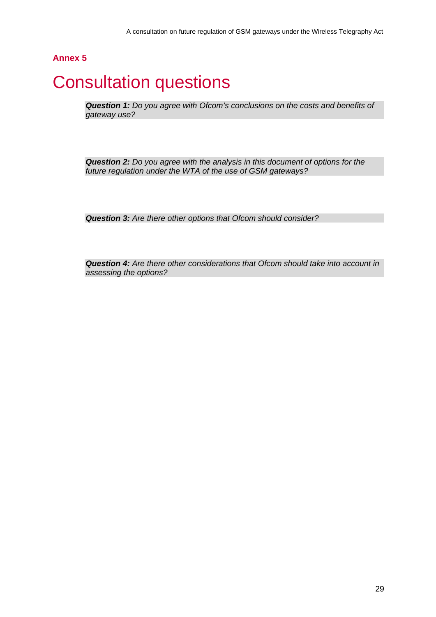## **Annex 5**

# 5 Consultation questions

*Question 1: Do you agree with Ofcom's conclusions on the costs and benefits of gateway use?* 

*Question 2: Do you agree with the analysis in this document of options for the future regulation under the WTA of the use of GSM gateways?* 

*Question 3: Are there other options that Ofcom should consider?* 

*Question 4: Are there other considerations that Ofcom should take into account in assessing the options?*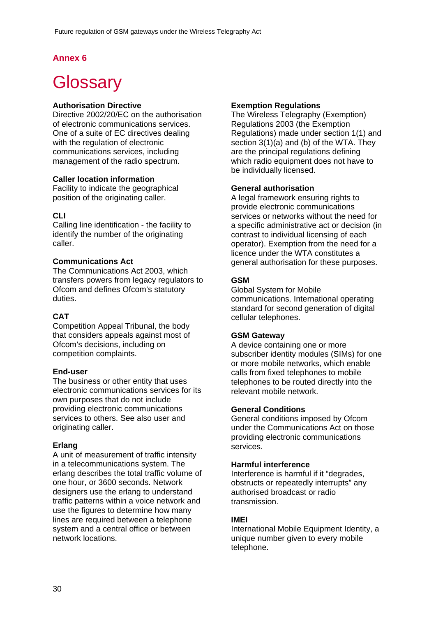# **Annex 6**

# **Glossary**

### **Authorisation Directive**

Directive 2002/20/EC on the authorisation of electronic communications services. One of a suite of EC directives dealing with the regulation of electronic communications services, including management of the radio spectrum.

#### **Caller location information**

Facility to indicate the geographical position of the originating caller.

#### **CLI**

Calling line identification - the facility to identify the number of the originating caller.

#### **Communications Act**

The Communications Act 2003, which transfers powers from legacy regulators to Ofcom and defines Ofcom's statutory duties.

#### **CAT**

Competition Appeal Tribunal, the body that considers appeals against most of Ofcom's decisions, including on competition complaints.

#### **End-user**

The business or other entity that uses electronic communications services for its own purposes that do not include providing electronic communications services to others. See also user and originating caller.

#### **Erlang**

A unit of measurement of traffic intensity in a telecommunications system. The erlang describes the total traffic volume of one hour, or 3600 seconds. Network designers use the erlang to understand traffic patterns within a voice network and use the figures to determine how many lines are required between a telephone system and a central office or between network locations.

### **Exemption Regulations**

The Wireless Telegraphy (Exemption) Regulations 2003 (the Exemption Regulations) made under section 1(1) and section 3(1)(a) and (b) of the WTA. They are the principal regulations defining which radio equipment does not have to be individually licensed.

#### **General authorisation**

A legal framework ensuring rights to provide electronic communications services or networks without the need for a specific administrative act or decision (in contrast to individual licensing of each operator). Exemption from the need for a licence under the WTA constitutes a general authorisation for these purposes.

#### **GSM**

Global System for Mobile communications. International operating standard for second generation of digital cellular telephones.

#### **GSM Gateway**

A device containing one or more subscriber identity modules (SIMs) for one or more mobile networks, which enable calls from fixed telephones to mobile telephones to be routed directly into the relevant mobile network.

#### **General Conditions**

General conditions imposed by Ofcom under the Communications Act on those providing electronic communications services.

#### **Harmful interference**

Interference is harmful if it "degrades, obstructs or repeatedly interrupts" any authorised broadcast or radio transmission.

#### **IMEI**

International Mobile Equipment Identity, a unique number given to every mobile telephone.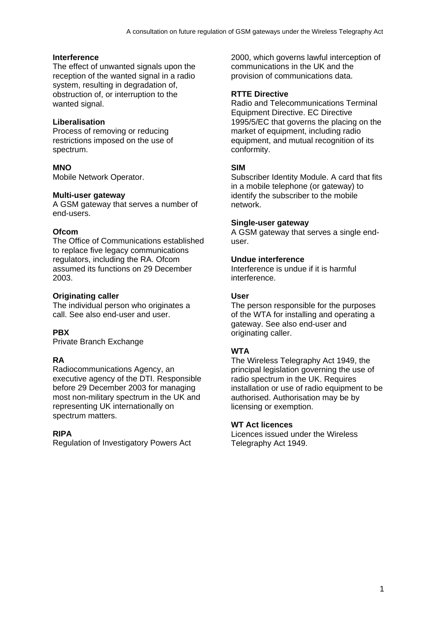### **Interference**

The effect of unwanted signals upon the reception of the wanted signal in a radio system, resulting in degradation of, obstruction of, or interruption to the wanted signal.

#### **Liberalisation**

Process of removing or reducing restrictions imposed on the use of spectrum.

#### **MNO**

Mobile Network Operator.

#### **Multi-user gateway**

A GSM gateway that serves a number of end-users.

#### **Ofcom**

The Office of Communications established to replace five legacy communications regulators, including the RA. Ofcom assumed its functions on 29 December 2003.

#### **Originating caller**

The individual person who originates a call. See also end-user and user.

#### **PBX**

Private Branch Exchange

### **RA**

Radiocommunications Agency, an executive agency of the DTI. Responsible before 29 December 2003 for managing most non-military spectrum in the UK and representing UK internationally on spectrum matters.

#### **RIPA**

Regulation of Investigatory Powers Act

2000, which governs lawful interception of communications in the UK and the provision of communications data.

### **RTTE Directive**

Radio and Telecommunications Terminal Equipment Directive. EC Directive 1995/5/EC that governs the placing on the market of equipment, including radio equipment, and mutual recognition of its conformity.

#### **SIM**

Subscriber Identity Module. A card that fits in a mobile telephone (or gateway) to identify the subscriber to the mobile network.

#### **Single-user gateway**

A GSM gateway that serves a single enduser.

#### **Undue interference**

Interference is undue if it is harmful interference.

#### **User**

The person responsible for the purposes of the WTA for installing and operating a gateway. See also end-user and originating caller.

#### **WTA**

The Wireless Telegraphy Act 1949, the principal legislation governing the use of radio spectrum in the UK. Requires installation or use of radio equipment to be authorised. Authorisation may be by licensing or exemption.

#### **WT Act licences**

Licences issued under the Wireless Telegraphy Act 1949.